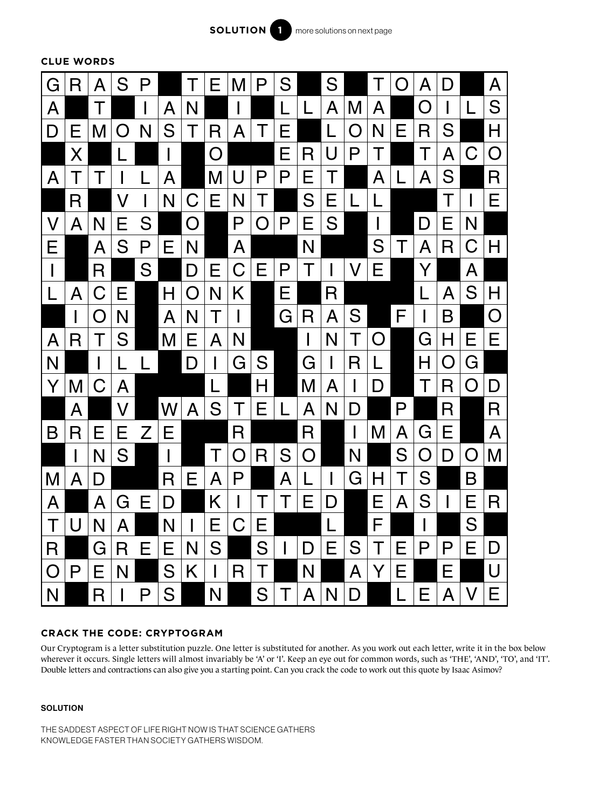

**CLUE WORDS**



## **CRACK THE CODE: CRYPTOGRAM**

Our Cryptogram is a letter substitution puzzle. One letter is substituted for another. As you work out each letter, write it in the box below wherever it occurs. Single letters will almost invariably be 'A' or 'I'. Keep an eye out for common words, such as 'THE', 'AND', 'TO', and 'IT'. Double letters and contractions can also give you a starting point. Can you crack the code to work out this quote by Isaac Asimov?

## **SOLUTION**

THE SADDEST ASPECT OF LIFE RIGHT NOW IS THAT SCIENCE GATHERS KNOWLEDGE FASTER THAN SOCIETY GATHERS WISDOM.